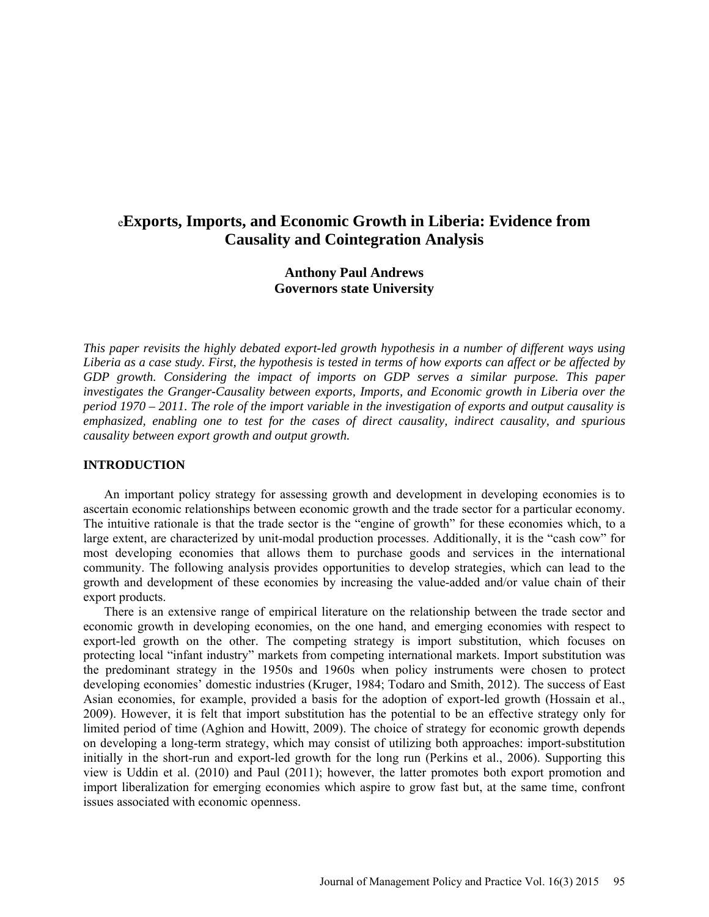# e**Exports, Imports, and Economic Growth in Liberia: Evidence from Causality and Cointegration Analysis**

# **Anthony Paul Andrews Governors state University**

*This paper revisits the highly debated export-led growth hypothesis in a number of different ways using Liberia as a case study. First, the hypothesis is tested in terms of how exports can affect or be affected by GDP growth. Considering the impact of imports on GDP serves a similar purpose. This paper investigates the Granger-Causality between exports, Imports, and Economic growth in Liberia over the period 1970 – 2011. The role of the import variable in the investigation of exports and output causality is emphasized, enabling one to test for the cases of direct causality, indirect causality, and spurious causality between export growth and output growth.*

### **INTRODUCTION**

An important policy strategy for assessing growth and development in developing economies is to ascertain economic relationships between economic growth and the trade sector for a particular economy. The intuitive rationale is that the trade sector is the "engine of growth" for these economies which, to a large extent, are characterized by unit-modal production processes. Additionally, it is the "cash cow" for most developing economies that allows them to purchase goods and services in the international community. The following analysis provides opportunities to develop strategies, which can lead to the growth and development of these economies by increasing the value-added and/or value chain of their export products.

There is an extensive range of empirical literature on the relationship between the trade sector and economic growth in developing economies, on the one hand, and emerging economies with respect to export-led growth on the other. The competing strategy is import substitution, which focuses on protecting local "infant industry" markets from competing international markets. Import substitution was the predominant strategy in the 1950s and 1960s when policy instruments were chosen to protect developing economies' domestic industries (Kruger, 1984; Todaro and Smith, 2012). The success of East Asian economies, for example, provided a basis for the adoption of export-led growth (Hossain et al., 2009). However, it is felt that import substitution has the potential to be an effective strategy only for limited period of time (Aghion and Howitt, 2009). The choice of strategy for economic growth depends on developing a long-term strategy, which may consist of utilizing both approaches: import-substitution initially in the short-run and export-led growth for the long run (Perkins et al., 2006). Supporting this view is Uddin et al. (2010) and Paul (2011); however, the latter promotes both export promotion and import liberalization for emerging economies which aspire to grow fast but, at the same time, confront issues associated with economic openness.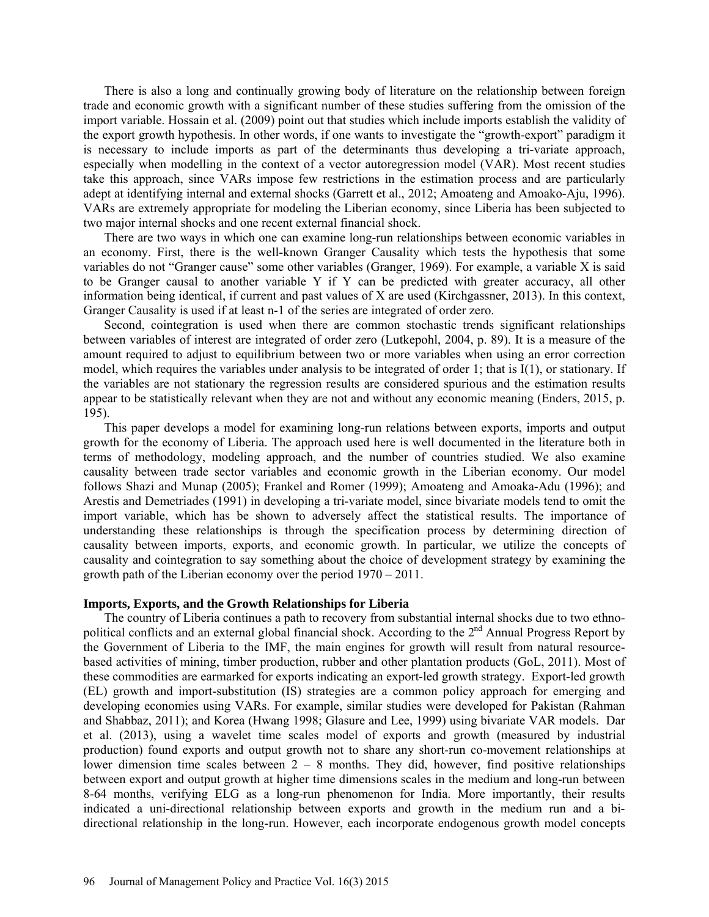There is also a long and continually growing body of literature on the relationship between foreign trade and economic growth with a significant number of these studies suffering from the omission of the import variable. Hossain et al. (2009) point out that studies which include imports establish the validity of the export growth hypothesis. In other words, if one wants to investigate the "growth-export" paradigm it is necessary to include imports as part of the determinants thus developing a tri-variate approach, especially when modelling in the context of a vector autoregression model (VAR). Most recent studies take this approach, since VARs impose few restrictions in the estimation process and are particularly adept at identifying internal and external shocks (Garrett et al., 2012; Amoateng and Amoako-Aju, 1996). VARs are extremely appropriate for modeling the Liberian economy, since Liberia has been subjected to two major internal shocks and one recent external financial shock.

There are two ways in which one can examine long-run relationships between economic variables in an economy. First, there is the well-known Granger Causality which tests the hypothesis that some variables do not "Granger cause" some other variables (Granger, 1969). For example, a variable X is said to be Granger causal to another variable Y if Y can be predicted with greater accuracy, all other information being identical, if current and past values of X are used (Kirchgassner, 2013). In this context, Granger Causality is used if at least n-1 of the series are integrated of order zero.

Second, cointegration is used when there are common stochastic trends significant relationships between variables of interest are integrated of order zero (Lutkepohl, 2004, p. 89). It is a measure of the amount required to adjust to equilibrium between two or more variables when using an error correction model, which requires the variables under analysis to be integrated of order 1; that is I(1), or stationary. If the variables are not stationary the regression results are considered spurious and the estimation results appear to be statistically relevant when they are not and without any economic meaning (Enders, 2015, p. 195).

This paper develops a model for examining long-run relations between exports, imports and output growth for the economy of Liberia. The approach used here is well documented in the literature both in terms of methodology, modeling approach, and the number of countries studied. We also examine causality between trade sector variables and economic growth in the Liberian economy. Our model follows Shazi and Munap (2005); Frankel and Romer (1999); Amoateng and Amoaka-Adu (1996); and Arestis and Demetriades (1991) in developing a tri-variate model, since bivariate models tend to omit the import variable, which has be shown to adversely affect the statistical results. The importance of understanding these relationships is through the specification process by determining direction of causality between imports, exports, and economic growth. In particular, we utilize the concepts of causality and cointegration to say something about the choice of development strategy by examining the growth path of the Liberian economy over the period 1970 – 2011.

#### **Imports, Exports, and the Growth Relationships for Liberia**

The country of Liberia continues a path to recovery from substantial internal shocks due to two ethnopolitical conflicts and an external global financial shock. According to the 2<sup>nd</sup> Annual Progress Report by the Government of Liberia to the IMF, the main engines for growth will result from natural resourcebased activities of mining, timber production, rubber and other plantation products (GoL, 2011). Most of these commodities are earmarked for exports indicating an export-led growth strategy. Export-led growth (EL) growth and import-substitution (IS) strategies are a common policy approach for emerging and developing economies using VARs. For example, similar studies were developed for Pakistan (Rahman and Shabbaz, 2011); and Korea (Hwang 1998; Glasure and Lee, 1999) using bivariate VAR models. Dar et al. (2013), using a wavelet time scales model of exports and growth (measured by industrial production) found exports and output growth not to share any short-run co-movement relationships at lower dimension time scales between  $2 - 8$  months. They did, however, find positive relationships between export and output growth at higher time dimensions scales in the medium and long-run between 8-64 months, verifying ELG as a long-run phenomenon for India. More importantly, their results indicated a uni-directional relationship between exports and growth in the medium run and a bidirectional relationship in the long-run. However, each incorporate endogenous growth model concepts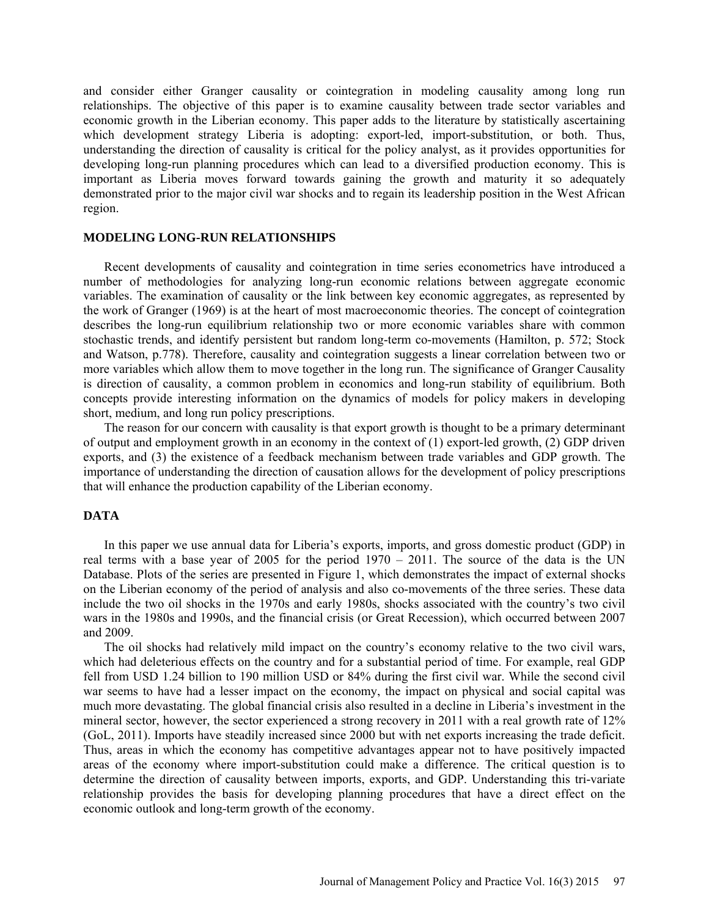and consider either Granger causality or cointegration in modeling causality among long run relationships. The objective of this paper is to examine causality between trade sector variables and economic growth in the Liberian economy. This paper adds to the literature by statistically ascertaining which development strategy Liberia is adopting: export-led, import-substitution, or both. Thus, understanding the direction of causality is critical for the policy analyst, as it provides opportunities for developing long-run planning procedures which can lead to a diversified production economy. This is important as Liberia moves forward towards gaining the growth and maturity it so adequately demonstrated prior to the major civil war shocks and to regain its leadership position in the West African region.

#### **MODELING LONG-RUN RELATIONSHIPS**

Recent developments of causality and cointegration in time series econometrics have introduced a number of methodologies for analyzing long-run economic relations between aggregate economic variables. The examination of causality or the link between key economic aggregates, as represented by the work of Granger (1969) is at the heart of most macroeconomic theories. The concept of cointegration describes the long-run equilibrium relationship two or more economic variables share with common stochastic trends, and identify persistent but random long-term co-movements (Hamilton, p. 572; Stock and Watson, p.778). Therefore, causality and cointegration suggests a linear correlation between two or more variables which allow them to move together in the long run. The significance of Granger Causality is direction of causality, a common problem in economics and long-run stability of equilibrium. Both concepts provide interesting information on the dynamics of models for policy makers in developing short, medium, and long run policy prescriptions.

The reason for our concern with causality is that export growth is thought to be a primary determinant of output and employment growth in an economy in the context of (1) export-led growth, (2) GDP driven exports, and (3) the existence of a feedback mechanism between trade variables and GDP growth. The importance of understanding the direction of causation allows for the development of policy prescriptions that will enhance the production capability of the Liberian economy.

### **DATA**

In this paper we use annual data for Liberia's exports, imports, and gross domestic product (GDP) in real terms with a base year of 2005 for the period 1970 – 2011. The source of the data is the UN Database. Plots of the series are presented in Figure 1, which demonstrates the impact of external shocks on the Liberian economy of the period of analysis and also co-movements of the three series. These data include the two oil shocks in the 1970s and early 1980s, shocks associated with the country's two civil wars in the 1980s and 1990s, and the financial crisis (or Great Recession), which occurred between 2007 and 2009.

The oil shocks had relatively mild impact on the country's economy relative to the two civil wars, which had deleterious effects on the country and for a substantial period of time. For example, real GDP fell from USD 1.24 billion to 190 million USD or 84% during the first civil war. While the second civil war seems to have had a lesser impact on the economy, the impact on physical and social capital was much more devastating. The global financial crisis also resulted in a decline in Liberia's investment in the mineral sector, however, the sector experienced a strong recovery in 2011 with a real growth rate of 12% (GoL, 2011). Imports have steadily increased since 2000 but with net exports increasing the trade deficit. Thus, areas in which the economy has competitive advantages appear not to have positively impacted areas of the economy where import-substitution could make a difference. The critical question is to determine the direction of causality between imports, exports, and GDP. Understanding this tri-variate relationship provides the basis for developing planning procedures that have a direct effect on the economic outlook and long-term growth of the economy.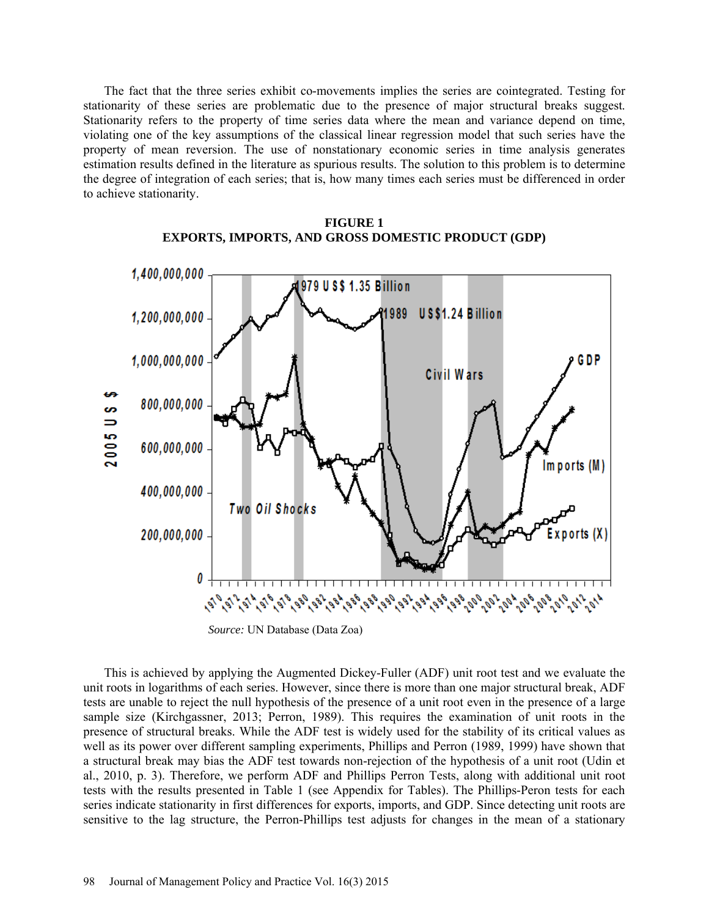The fact that the three series exhibit co-movements implies the series are cointegrated. Testing for stationarity of these series are problematic due to the presence of major structural breaks suggest. Stationarity refers to the property of time series data where the mean and variance depend on time, violating one of the key assumptions of the classical linear regression model that such series have the property of mean reversion. The use of nonstationary economic series in time analysis generates estimation results defined in the literature as spurious results. The solution to this problem is to determine the degree of integration of each series; that is, how many times each series must be differenced in order to achieve stationarity.



### **FIGURE 1 EXPORTS, IMPORTS, AND GROSS DOMESTIC PRODUCT (GDP)**

*Source:* UN Database (Data Zoa)

This is achieved by applying the Augmented Dickey-Fuller (ADF) unit root test and we evaluate the unit roots in logarithms of each series. However, since there is more than one major structural break, ADF tests are unable to reject the null hypothesis of the presence of a unit root even in the presence of a large sample size (Kirchgassner, 2013; Perron, 1989). This requires the examination of unit roots in the presence of structural breaks. While the ADF test is widely used for the stability of its critical values as well as its power over different sampling experiments, Phillips and Perron (1989, 1999) have shown that a structural break may bias the ADF test towards non-rejection of the hypothesis of a unit root (Udin et al., 2010, p. 3). Therefore, we perform ADF and Phillips Perron Tests, along with additional unit root tests with the results presented in Table 1 (see Appendix for Tables). The Phillips-Peron tests for each series indicate stationarity in first differences for exports, imports, and GDP. Since detecting unit roots are sensitive to the lag structure, the Perron-Phillips test adjusts for changes in the mean of a stationary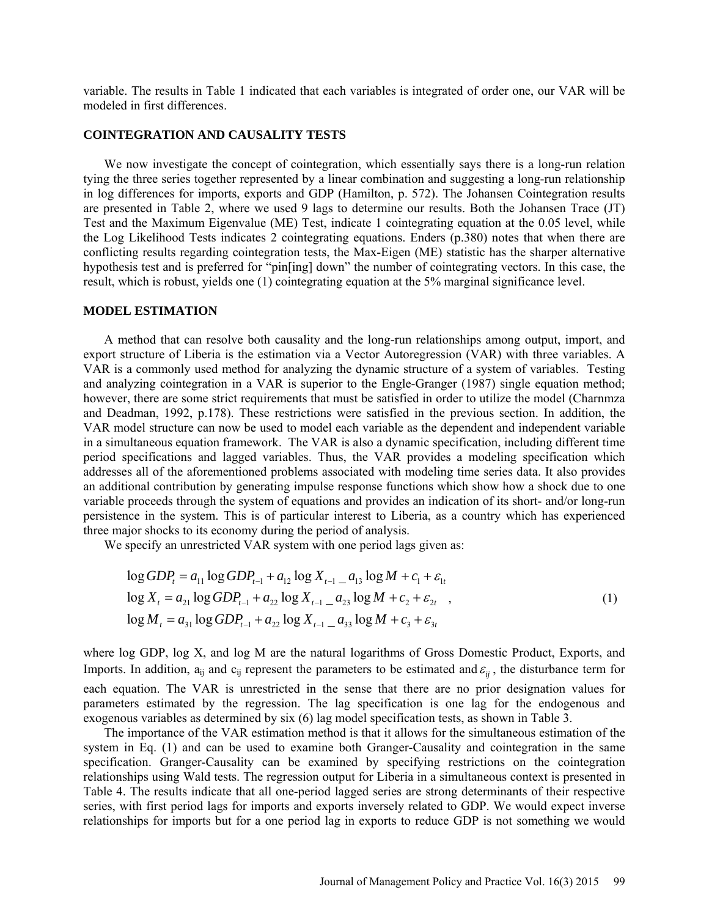variable. The results in Table 1 indicated that each variables is integrated of order one, our VAR will be modeled in first differences.

#### **COINTEGRATION AND CAUSALITY TESTS**

We now investigate the concept of cointegration, which essentially says there is a long-run relation tying the three series together represented by a linear combination and suggesting a long-run relationship in log differences for imports, exports and GDP (Hamilton, p. 572). The Johansen Cointegration results are presented in Table 2, where we used 9 lags to determine our results. Both the Johansen Trace (JT) Test and the Maximum Eigenvalue (ME) Test, indicate 1 cointegrating equation at the 0.05 level, while the Log Likelihood Tests indicates 2 cointegrating equations. Enders (p.380) notes that when there are conflicting results regarding cointegration tests, the Max-Eigen (ME) statistic has the sharper alternative hypothesis test and is preferred for "pin[ing] down" the number of cointegrating vectors. In this case, the result, which is robust, yields one (1) cointegrating equation at the 5% marginal significance level.

#### **MODEL ESTIMATION**

A method that can resolve both causality and the long-run relationships among output, import, and export structure of Liberia is the estimation via a Vector Autoregression (VAR) with three variables. A VAR is a commonly used method for analyzing the dynamic structure of a system of variables. Testing and analyzing cointegration in a VAR is superior to the Engle-Granger (1987) single equation method; however, there are some strict requirements that must be satisfied in order to utilize the model (Charnmza and Deadman, 1992, p.178). These restrictions were satisfied in the previous section. In addition, the VAR model structure can now be used to model each variable as the dependent and independent variable in a simultaneous equation framework. The VAR is also a dynamic specification, including different time period specifications and lagged variables. Thus, the VAR provides a modeling specification which addresses all of the aforementioned problems associated with modeling time series data. It also provides an additional contribution by generating impulse response functions which show how a shock due to one variable proceeds through the system of equations and provides an indication of its short- and/or long-run persistence in the system. This is of particular interest to Liberia, as a country which has experienced three major shocks to its economy during the period of analysis.

We specify an unrestricted VAR system with one period lags given as:

$$
\log GDP_{t} = a_{11} \log GDP_{t-1} + a_{12} \log X_{t-1} - a_{13} \log M + c_{1} + \varepsilon_{1t}
$$
  
\n
$$
\log X_{t} = a_{21} \log GDP_{t-1} + a_{22} \log X_{t-1} - a_{23} \log M + c_{2} + \varepsilon_{2t}
$$
  
\n
$$
\log M_{t} = a_{31} \log GDP_{t-1} + a_{22} \log X_{t-1} - a_{33} \log M + c_{3} + \varepsilon_{3t}
$$
 (1)

where log GDP, log X, and log M are the natural logarithms of Gross Domestic Product, Exports, and Imports. In addition,  $a_{ij}$  and  $c_{ij}$  represent the parameters to be estimated and  $\varepsilon_{ij}$ , the disturbance term for each equation. The VAR is unrestricted in the sense that there are no prior designation values for parameters estimated by the regression. The lag specification is one lag for the endogenous and exogenous variables as determined by six (6) lag model specification tests, as shown in Table 3.

The importance of the VAR estimation method is that it allows for the simultaneous estimation of the system in Eq. (1) and can be used to examine both Granger-Causality and cointegration in the same specification. Granger-Causality can be examined by specifying restrictions on the cointegration relationships using Wald tests. The regression output for Liberia in a simultaneous context is presented in Table 4. The results indicate that all one-period lagged series are strong determinants of their respective series, with first period lags for imports and exports inversely related to GDP. We would expect inverse relationships for imports but for a one period lag in exports to reduce GDP is not something we would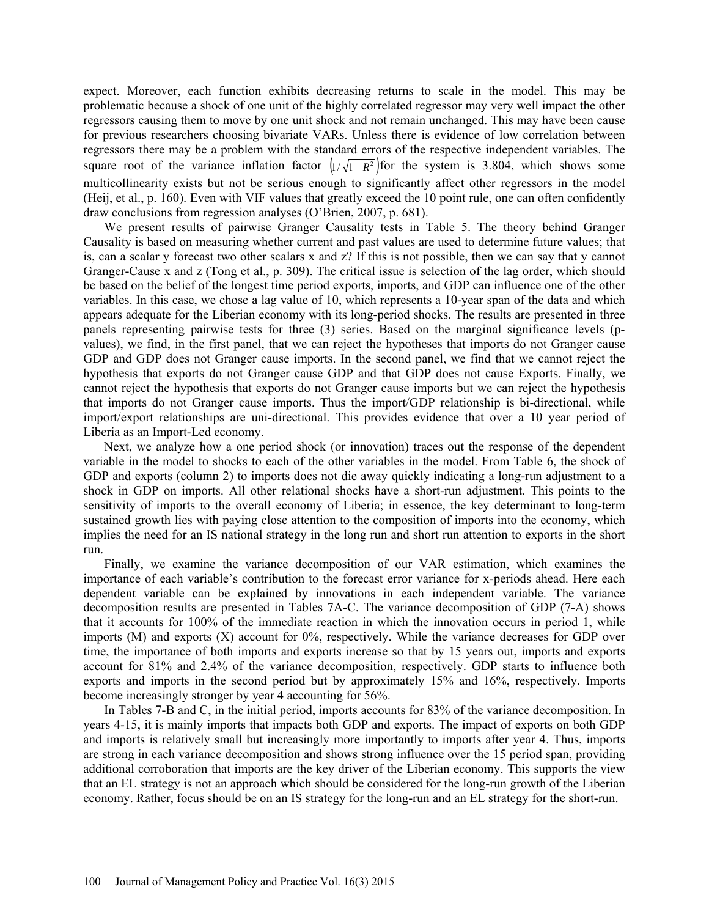expect. Moreover, each function exhibits decreasing returns to scale in the model. This may be problematic because a shock of one unit of the highly correlated regressor may very well impact the other regressors causing them to move by one unit shock and not remain unchanged. This may have been cause for previous researchers choosing bivariate VARs. Unless there is evidence of low correlation between regressors there may be a problem with the standard errors of the respective independent variables. The square root of the variance inflation factor  $\left( \frac{1}{\sqrt{1 - R^2}} \right)$  for the system is 3.804, which shows some multicollinearity exists but not be serious enough to significantly affect other regressors in the model (Heij, et al., p. 160). Even with VIF values that greatly exceed the 10 point rule, one can often confidently draw conclusions from regression analyses (O'Brien, 2007, p. 681).

We present results of pairwise Granger Causality tests in Table 5. The theory behind Granger Causality is based on measuring whether current and past values are used to determine future values; that is, can a scalar y forecast two other scalars x and z? If this is not possible, then we can say that y cannot Granger-Cause x and z (Tong et al., p. 309). The critical issue is selection of the lag order, which should be based on the belief of the longest time period exports, imports, and GDP can influence one of the other variables. In this case, we chose a lag value of 10, which represents a 10-year span of the data and which appears adequate for the Liberian economy with its long-period shocks. The results are presented in three panels representing pairwise tests for three (3) series. Based on the marginal significance levels (pvalues), we find, in the first panel, that we can reject the hypotheses that imports do not Granger cause GDP and GDP does not Granger cause imports. In the second panel, we find that we cannot reject the hypothesis that exports do not Granger cause GDP and that GDP does not cause Exports. Finally, we cannot reject the hypothesis that exports do not Granger cause imports but we can reject the hypothesis that imports do not Granger cause imports. Thus the import/GDP relationship is bi-directional, while import/export relationships are uni-directional. This provides evidence that over a 10 year period of Liberia as an Import-Led economy.

Next, we analyze how a one period shock (or innovation) traces out the response of the dependent variable in the model to shocks to each of the other variables in the model. From Table 6, the shock of GDP and exports (column 2) to imports does not die away quickly indicating a long-run adjustment to a shock in GDP on imports. All other relational shocks have a short-run adjustment. This points to the sensitivity of imports to the overall economy of Liberia; in essence, the key determinant to long-term sustained growth lies with paying close attention to the composition of imports into the economy, which implies the need for an IS national strategy in the long run and short run attention to exports in the short run.

Finally, we examine the variance decomposition of our VAR estimation, which examines the importance of each variable's contribution to the forecast error variance for x-periods ahead. Here each dependent variable can be explained by innovations in each independent variable. The variance decomposition results are presented in Tables 7A-C. The variance decomposition of GDP (7-A) shows that it accounts for 100% of the immediate reaction in which the innovation occurs in period 1, while imports (M) and exports (X) account for 0%, respectively. While the variance decreases for GDP over time, the importance of both imports and exports increase so that by 15 years out, imports and exports account for 81% and 2.4% of the variance decomposition, respectively. GDP starts to influence both exports and imports in the second period but by approximately 15% and 16%, respectively. Imports become increasingly stronger by year 4 accounting for 56%.

In Tables 7-B and C, in the initial period, imports accounts for 83% of the variance decomposition. In years 4-15, it is mainly imports that impacts both GDP and exports. The impact of exports on both GDP and imports is relatively small but increasingly more importantly to imports after year 4. Thus, imports are strong in each variance decomposition and shows strong influence over the 15 period span, providing additional corroboration that imports are the key driver of the Liberian economy. This supports the view that an EL strategy is not an approach which should be considered for the long-run growth of the Liberian economy. Rather, focus should be on an IS strategy for the long-run and an EL strategy for the short-run.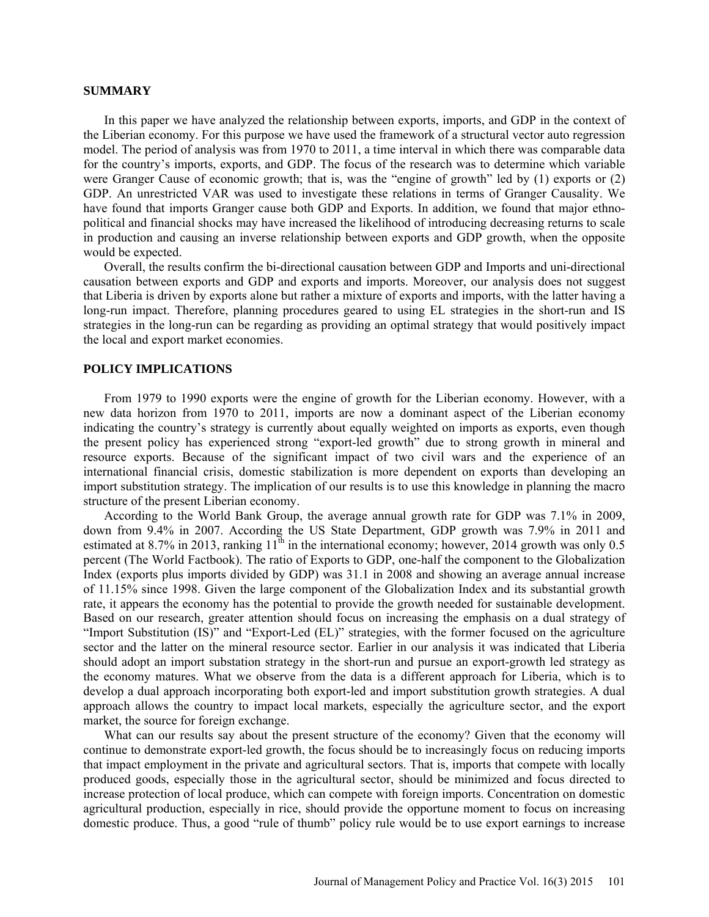#### **SUMMARY**

In this paper we have analyzed the relationship between exports, imports, and GDP in the context of the Liberian economy. For this purpose we have used the framework of a structural vector auto regression model. The period of analysis was from 1970 to 2011, a time interval in which there was comparable data for the country's imports, exports, and GDP. The focus of the research was to determine which variable were Granger Cause of economic growth; that is, was the "engine of growth" led by (1) exports or (2) GDP. An unrestricted VAR was used to investigate these relations in terms of Granger Causality. We have found that imports Granger cause both GDP and Exports. In addition, we found that major ethnopolitical and financial shocks may have increased the likelihood of introducing decreasing returns to scale in production and causing an inverse relationship between exports and GDP growth, when the opposite would be expected.

Overall, the results confirm the bi-directional causation between GDP and Imports and uni-directional causation between exports and GDP and exports and imports. Moreover, our analysis does not suggest that Liberia is driven by exports alone but rather a mixture of exports and imports, with the latter having a long-run impact. Therefore, planning procedures geared to using EL strategies in the short-run and IS strategies in the long-run can be regarding as providing an optimal strategy that would positively impact the local and export market economies.

### **POLICY IMPLICATIONS**

From 1979 to 1990 exports were the engine of growth for the Liberian economy. However, with a new data horizon from 1970 to 2011, imports are now a dominant aspect of the Liberian economy indicating the country's strategy is currently about equally weighted on imports as exports, even though the present policy has experienced strong "export-led growth" due to strong growth in mineral and resource exports. Because of the significant impact of two civil wars and the experience of an international financial crisis, domestic stabilization is more dependent on exports than developing an import substitution strategy. The implication of our results is to use this knowledge in planning the macro structure of the present Liberian economy.

According to the World Bank Group, the average annual growth rate for GDP was 7.1% in 2009, down from 9.4% in 2007. According the US State Department, GDP growth was 7.9% in 2011 and estimated at 8.7% in 2013, ranking  $11^{\text{th}}$  in the international economy; however, 2014 growth was only 0.5 percent (The World Factbook). The ratio of Exports to GDP, one-half the component to the Globalization Index (exports plus imports divided by GDP) was 31.1 in 2008 and showing an average annual increase of 11.15% since 1998. Given the large component of the Globalization Index and its substantial growth rate, it appears the economy has the potential to provide the growth needed for sustainable development. Based on our research, greater attention should focus on increasing the emphasis on a dual strategy of "Import Substitution (IS)" and "Export-Led (EL)" strategies, with the former focused on the agriculture sector and the latter on the mineral resource sector. Earlier in our analysis it was indicated that Liberia should adopt an import substation strategy in the short-run and pursue an export-growth led strategy as the economy matures. What we observe from the data is a different approach for Liberia, which is to develop a dual approach incorporating both export-led and import substitution growth strategies. A dual approach allows the country to impact local markets, especially the agriculture sector, and the export market, the source for foreign exchange.

What can our results say about the present structure of the economy? Given that the economy will continue to demonstrate export-led growth, the focus should be to increasingly focus on reducing imports that impact employment in the private and agricultural sectors. That is, imports that compete with locally produced goods, especially those in the agricultural sector, should be minimized and focus directed to increase protection of local produce, which can compete with foreign imports. Concentration on domestic agricultural production, especially in rice, should provide the opportune moment to focus on increasing domestic produce. Thus, a good "rule of thumb" policy rule would be to use export earnings to increase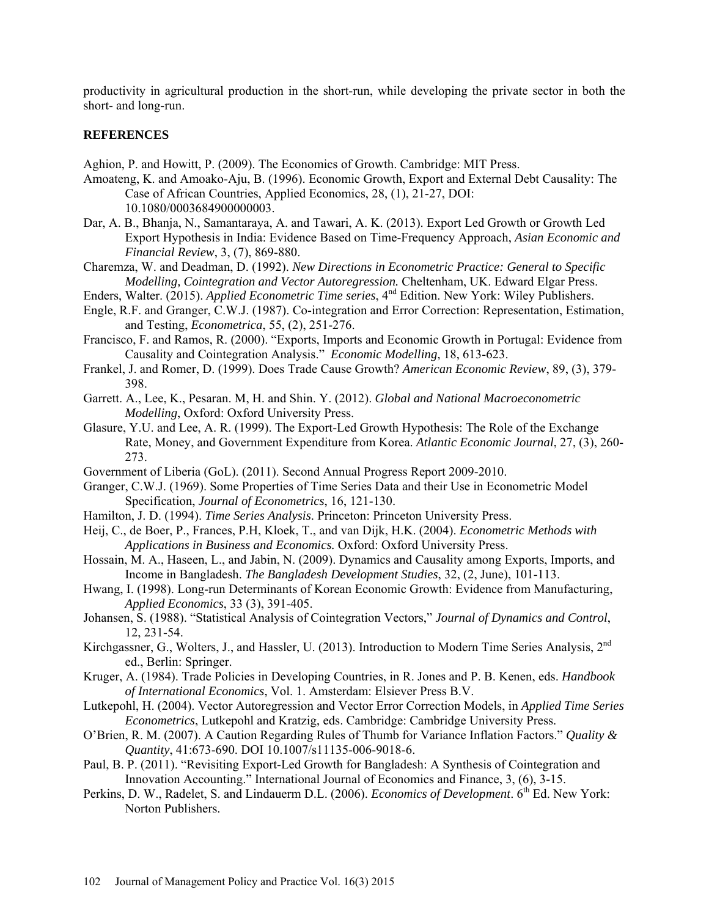productivity in agricultural production in the short-run, while developing the private sector in both the short- and long-run.

### **REFERENCES**

Aghion, P. and Howitt, P. (2009). The Economics of Growth. Cambridge: MIT Press.

- Amoateng, K. and Amoako-Aju, B. (1996). Economic Growth, Export and External Debt Causality: The Case of African Countries, Applied Economics, 28, (1), 21-27, DOI: 10.1080/0003684900000003.
- Dar, A. B., Bhanja, N., Samantaraya, A. and Tawari, A. K. (2013). Export Led Growth or Growth Led Export Hypothesis in India: Evidence Based on Time-Frequency Approach, *Asian Economic and Financial Review*, 3, (7), 869-880.
- Charemza, W. and Deadman, D. (1992). *New Directions in Econometric Practice: General to Specific Modelling, Cointegration and Vector Autoregression.* Cheltenham, UK. Edward Elgar Press.
- Enders, Walter. (2015). *Applied Econometric Time series*, 4nd Edition. New York: Wiley Publishers.
- Engle, R.F. and Granger, C.W.J. (1987). Co-integration and Error Correction: Representation, Estimation, and Testing, *Econometrica*, 55, (2), 251-276.
- Francisco, F. and Ramos, R. (2000). "Exports, Imports and Economic Growth in Portugal: Evidence from Causality and Cointegration Analysis." *Economic Modelling*, 18, 613-623.
- Frankel, J. and Romer, D. (1999). Does Trade Cause Growth? *American Economic Review*, 89, (3), 379- 398.
- Garrett. A., Lee, K., Pesaran. M, H. and Shin. Y. (2012). *Global and National Macroeconometric Modelling*, Oxford: Oxford University Press.
- Glasure, Y.U. and Lee, A. R. (1999). The Export-Led Growth Hypothesis: The Role of the Exchange Rate, Money, and Government Expenditure from Korea. *Atlantic Economic Journal*, 27, (3), 260- 273.
- Government of Liberia (GoL). (2011). Second Annual Progress Report 2009-2010.
- Granger, C.W.J. (1969). Some Properties of Time Series Data and their Use in Econometric Model Specification, *Journal of Econometrics*, 16, 121-130.
- Hamilton, J. D. (1994). *Time Series Analysis*. Princeton: Princeton University Press.
- Heij, C., de Boer, P., Frances, P.H, Kloek, T., and van Dijk, H.K. (2004). *Econometric Methods with Applications in Business and Economics.* Oxford: Oxford University Press.
- Hossain, M. A., Haseen, L., and Jabin, N. (2009). Dynamics and Causality among Exports, Imports, and Income in Bangladesh. *The Bangladesh Development Studies*, 32, (2, June), 101-113.
- Hwang, I. (1998). Long-run Determinants of Korean Economic Growth: Evidence from Manufacturing, *Applied Economics*, 33 (3), 391-405.
- Johansen, S. (1988). "Statistical Analysis of Cointegration Vectors," *Journal of Dynamics and Control*, 12, 231-54.
- Kirchgassner, G., Wolters, J., and Hassler, U. (2013). Introduction to Modern Time Series Analysis, 2<sup>nd</sup> ed., Berlin: Springer.
- Kruger, A. (1984). Trade Policies in Developing Countries, in R. Jones and P. B. Kenen, eds. *Handbook of International Economics*, Vol. 1. Amsterdam: Elsiever Press B.V.
- Lutkepohl, H. (2004). Vector Autoregression and Vector Error Correction Models, in *Applied Time Series Econometrics*, Lutkepohl and Kratzig, eds. Cambridge: Cambridge University Press.
- O'Brien, R. M. (2007). A Caution Regarding Rules of Thumb for Variance Inflation Factors." *Quality & Quantity*, 41:673-690. DOI 10.1007/s11135-006-9018-6.
- Paul, B. P. (2011). "Revisiting Export-Led Growth for Bangladesh: A Synthesis of Cointegration and Innovation Accounting." International Journal of Economics and Finance, 3, (6), 3-15.
- Perkins, D. W., Radelet, S. and Lindauerm D.L. (2006). *Economics of Development*. 6<sup>th</sup> Ed. New York: Norton Publishers.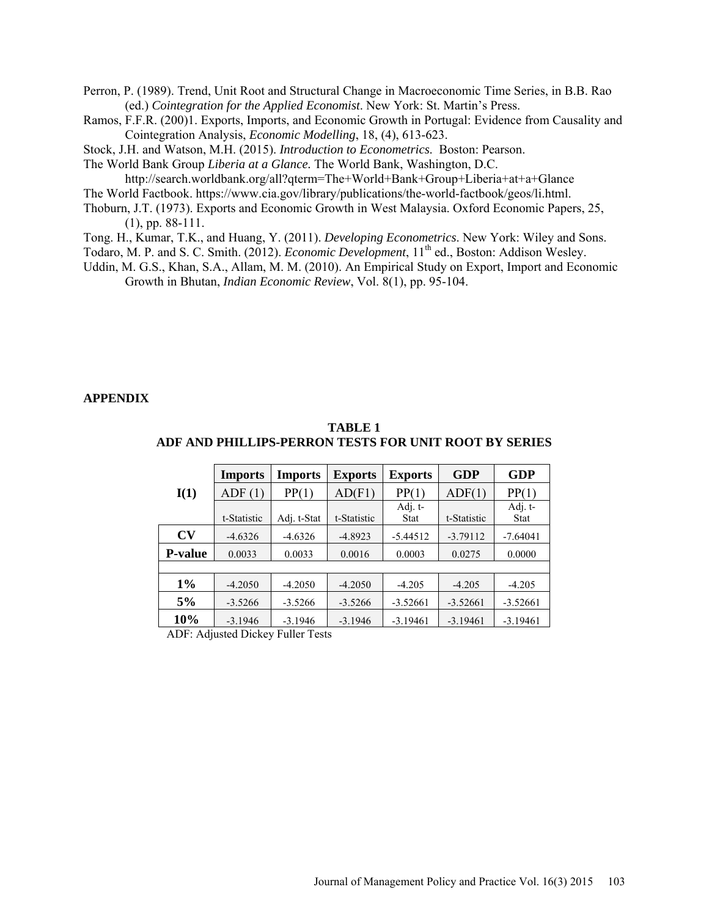Perron, P. (1989). Trend, Unit Root and Structural Change in Macroeconomic Time Series, in B.B. Rao (ed.) *Cointegration for the Applied Economist*. New York: St. Martin's Press.

Ramos, F.F.R. (200)1. Exports, Imports, and Economic Growth in Portugal: Evidence from Causality and Cointegration Analysis, *Economic Modelling*, 18, (4), 613-623.

Stock, J.H. and Watson, M.H. (2015). *Introduction to Econometrics*. Boston: Pearson.

The World Bank Group *Liberia at a Glance.* The World Bank, Washington, D.C.

<http://search.worldbank.org/all?qterm=The+World+Bank+Group+Liberia+at+a+Glance>

The World Factbook. [https://www.cia.gov/library/publications/the-world-factbook/geos/li.html.](https://www.cia.gov/library/publications/the-world-factbook/geos/li.html)

- Thoburn, J.T. (1973). Exports and Economic Growth in West Malaysia. Oxford Economic Papers, 25, (1), pp. 88-111.
- Tong. H., Kumar, T.K., and Huang, Y. (2011). *Developing Econometrics*. New York: Wiley and Sons.
- Todaro, M. P. and S. C. Smith. (2012). *Economic Development*, 11<sup>th</sup> ed., Boston: Addison Wesley.
- Uddin, M. G.S., Khan, S.A., Allam, M. M. (2010). An Empirical Study on Export, Import and Economic Growth in Bhutan, *Indian Economic Review*, Vol. 8(1), pp. 95-104.

#### **APPENDIX**

|                | Imports     | <b>Imports</b> | <b>Exports</b> | <b>Exports</b> | GDP         | <b>GDP</b>  |
|----------------|-------------|----------------|----------------|----------------|-------------|-------------|
| I(1)           | ADF(1)      | PP(1)          | AD(F1)         | PP(1)          | ADF(1)      | PP(1)       |
|                |             |                |                | Adj. t-        |             | Adj. t-     |
|                | t-Statistic | Adj. t-Stat    | t-Statistic    | <b>Stat</b>    | t-Statistic | <b>Stat</b> |
| $\bf{CV}$      | $-4.6326$   | $-4.6326$      | $-4.8923$      | $-5.44512$     | $-3.79112$  | $-7.64041$  |
| <b>P-value</b> | 0.0033      | 0.0033         | 0.0016         | 0.0003         | 0.0275      | 0.0000      |
|                |             |                |                |                |             |             |
| $1\%$          | $-4.2050$   | $-4.2050$      | $-4.2050$      | $-4.205$       | $-4.205$    | $-4.205$    |
| 5%             | $-3.5266$   | $-3.5266$      | $-3.5266$      | $-3.52661$     | $-3.52661$  | $-3.52661$  |
| <b>10%</b>     | $-3.1946$   | $-3.1946$      | $-3.1946$      | $-3.19461$     | $-3.19461$  | $-3.19461$  |

**TABLE 1 ADF AND PHILLIPS-PERRON TESTS FOR UNIT ROOT BY SERIES**

ADF: Adjusted Dickey Fuller Tests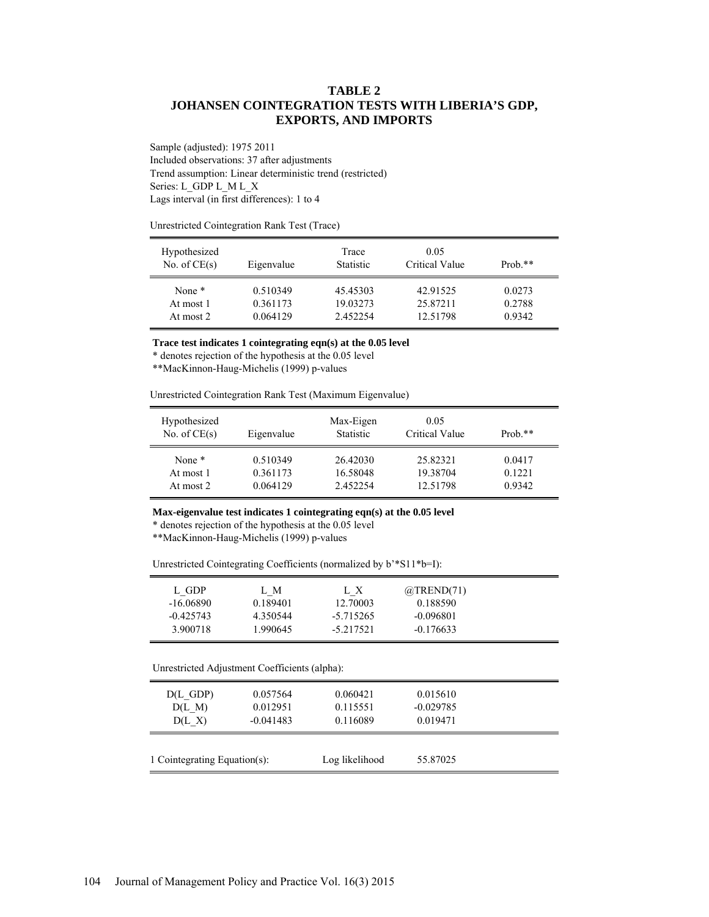### **TABLE 2 JOHANSEN COINTEGRATION TESTS WITH LIBERIA'S GDP, EXPORTS, AND IMPORTS**

Sample (adjusted): 1975 2011 Included observations: 37 after adjustments Trend assumption: Linear deterministic trend (restricted) Series: L\_GDP L\_M L\_X Lags interval (in first differences): 1 to 4

Unrestricted Cointegration Rank Test (Trace)

| Hypothesized<br>No. of $CE(s)$ | Eigenvalue | Trace<br><b>Statistic</b> | 0.05<br>Critical Value | Prob. $**$ |  |
|--------------------------------|------------|---------------------------|------------------------|------------|--|
| None $*$                       | 0.510349   | 45.45303                  | 42.91525               | 0.0273     |  |
| At most 1                      | 0.361173   | 19.03273                  | 25.87211               | 0.2788     |  |
| At most 2                      | 0.064129   | 2.452254                  | 12.51798               | 0.9342     |  |

**Trace test indicates 1 cointegrating eqn(s) at the 0.05 level**

\* denotes rejection of the hypothesis at the 0.05 level

\*\*MacKinnon-Haug-Michelis (1999) p-values

Unrestricted Cointegration Rank Test (Maximum Eigenvalue)

| Hypothesized<br>No. of $CE(s)$ | Eigenvalue | Max-Eigen<br><b>Statistic</b> | 0.05<br>Critical Value | $Prob.**$ |
|--------------------------------|------------|-------------------------------|------------------------|-----------|
| None <sup>*</sup>              | 0.510349   | 26.42030                      | 25.82321               | 0.0417    |
| At most 1                      | 0.361173   | 16.58048                      | 19.38704               | 0.1221    |
| At most 2                      | 0.064129   | 2.452254                      | 12.51798               | 0.9342    |

#### **Max-eigenvalue test indicates 1 cointegrating eqn(s) at the 0.05 level**

\* denotes rejection of the hypothesis at the 0.05 level

\*\*MacKinnon-Haug-Michelis (1999) p-values

Unrestricted Cointegrating Coefficients (normalized by b'\*S11\*b=I):

| L GDP<br>-16.06890 | L M<br>0.189401 | LX.<br>12.70003 | $@$ TREND $(71)$<br>0.188590 |
|--------------------|-----------------|-----------------|------------------------------|
| $-0.425743$        | 4.350544        | $-5.715265$     | $-0.096801$                  |
| 3.900718           | 1.990645        | $-5.217521$     | $-0.176633$                  |

Unrestricted Adjustment Coefficients (alpha):

| $D(L$ GDP)                   | 0.057564    | 0.060421       | 0.015610    |  |
|------------------------------|-------------|----------------|-------------|--|
| D(L M)                       | 0.012951    | 0.115551       | $-0.029785$ |  |
| $D(L \tX)$                   | $-0.041483$ | 0.116089       | 0.019471    |  |
| 1 Cointegrating Equation(s): |             | Log likelihood | 55.87025    |  |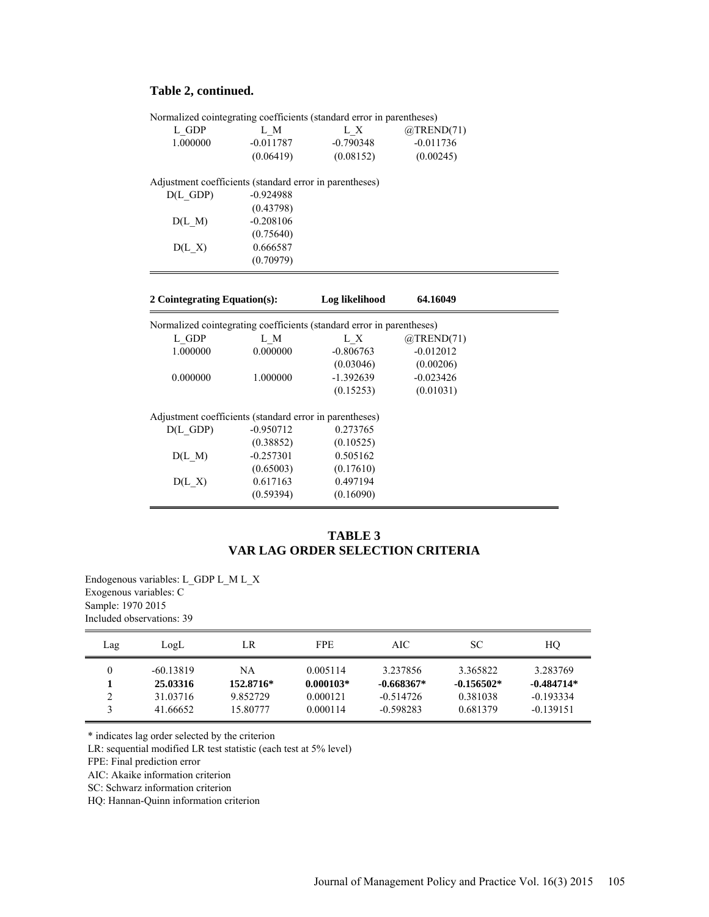# **Table 2, continued.**

|                                                         |                       | Normalized cointegrating coefficients (standard error in parentheses)        |                  |  |
|---------------------------------------------------------|-----------------------|------------------------------------------------------------------------------|------------------|--|
| L GDP                                                   | L M                   | L X                                                                          | $@$ TREND $(71)$ |  |
| 1.000000                                                | $-0.011787$           | $-0.790348$                                                                  | $-0.011736$      |  |
|                                                         | (0.06419)             | (0.08152)                                                                    | (0.00245)        |  |
|                                                         |                       |                                                                              |                  |  |
| Adjustment coefficients (standard error in parentheses) |                       |                                                                              |                  |  |
| $D(L$ GDP)                                              | $-0.924988$           |                                                                              |                  |  |
|                                                         | (0.43798)             |                                                                              |                  |  |
| $D(L_M)$                                                | $-0.208106$           |                                                                              |                  |  |
|                                                         | (0.75640)             |                                                                              |                  |  |
| $D(L \tX)$                                              | 0.666587              |                                                                              |                  |  |
|                                                         | (0.70979)             |                                                                              |                  |  |
|                                                         |                       |                                                                              |                  |  |
|                                                         |                       |                                                                              | 64.16049         |  |
| 2 Cointegrating Equation(s):                            |                       | Log likelihood                                                               |                  |  |
|                                                         |                       |                                                                              |                  |  |
|                                                         | L M                   | Normalized cointegrating coefficients (standard error in parentheses)<br>L X | $@$ TREND $(71)$ |  |
| L GDP<br>1.000000                                       | 0.000000              | $-0.806763$                                                                  | $-0.012012$      |  |
|                                                         |                       | (0.03046)                                                                    | (0.00206)        |  |
| 0.000000                                                | 1.000000              | $-1.392639$                                                                  | $-0.023426$      |  |
|                                                         |                       | (0.15253)                                                                    | (0.01031)        |  |
|                                                         |                       |                                                                              |                  |  |
| Adjustment coefficients (standard error in parentheses) |                       |                                                                              |                  |  |
| $D(L$ GDP)                                              | $-0.950712$           | 0.273765                                                                     |                  |  |
|                                                         | (0.38852)             | (0.10525)                                                                    |                  |  |
| D(L M)                                                  | $-0.257301$           | 0.505162                                                                     |                  |  |
|                                                         | (0.65003)<br>0.617163 | (0.17610)<br>0.497194                                                        |                  |  |
| $D(L \tX)$                                              | (0.59394)             | (0.16090)                                                                    |                  |  |

# **TABLE 3 VAR LAG ORDER SELECTION CRITERIA**

Endogenous variables: L\_GDP L\_M L\_X Exogenous variables: C Sample: 1970 2015 Included observations: 39

| Lag                       | LogL                                            | LR                                      | <b>FPE</b>                                      | AIC                                                    | SС                                               | HO                                                     |
|---------------------------|-------------------------------------------------|-----------------------------------------|-------------------------------------------------|--------------------------------------------------------|--------------------------------------------------|--------------------------------------------------------|
| $\Omega$<br>$\mathcal{L}$ | $-60.13819$<br>25.03316<br>31.03716<br>41.66652 | NA<br>152.8716*<br>9.852729<br>15.80777 | 0.005114<br>$0.000103*$<br>0.000121<br>0.000114 | 3.237856<br>$-0.668367*$<br>$-0.514726$<br>$-0.598283$ | 3 365822<br>$-0.156502*$<br>0.381038<br>0.681379 | 3.283769<br>$-0.484714*$<br>$-0.193334$<br>$-0.139151$ |

\* indicates lag order selected by the criterion

LR: sequential modified LR test statistic (each test at 5% level)

FPE: Final prediction error

AIC: Akaike information criterion

SC: Schwarz information criterion

HQ: Hannan-Quinn information criterion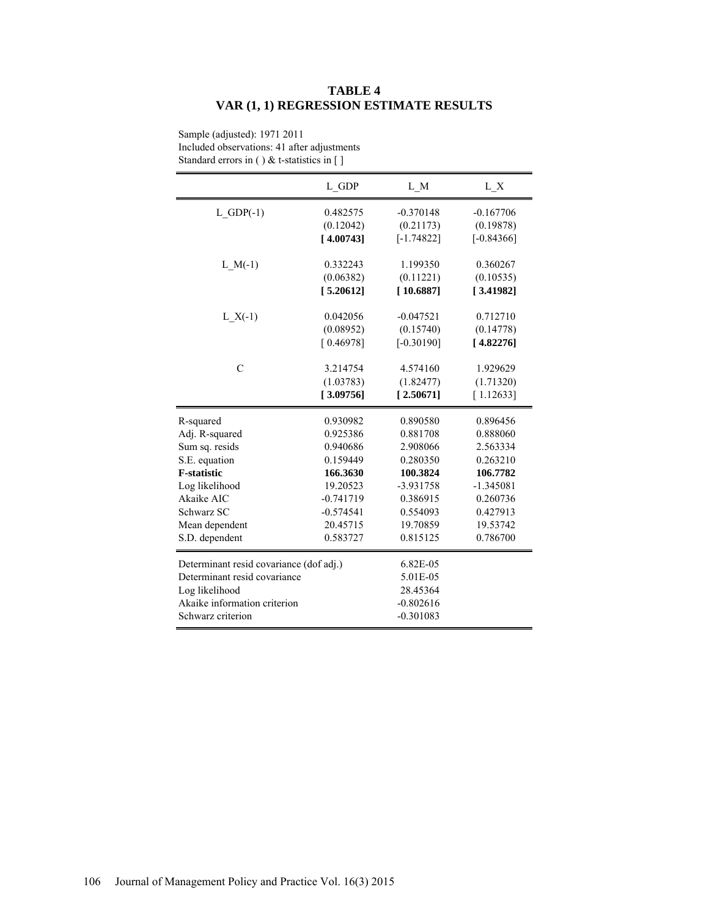# **TABLE 4 VAR (1, 1) REGRESSION ESTIMATE RESULTS**

|                                         | L GDP       | L M          | L X          |
|-----------------------------------------|-------------|--------------|--------------|
| $L$ GDP $(-1)$                          | 0.482575    | $-0.370148$  | $-0.167706$  |
|                                         | (0.12042)   | (0.21173)    | (0.19878)    |
|                                         | [4.00743]   | $[-1.74822]$ | $[-0.84366]$ |
|                                         |             |              |              |
| $L_M(-1)$                               | 0.332243    | 1.199350     | 0.360267     |
|                                         | (0.06382)   | (0.11221)    | (0.10535)    |
|                                         | [5.20612]   | [10.6887]    | [3.41982]    |
|                                         |             |              |              |
| $L X(-1)$                               | 0.042056    | $-0.047521$  | 0.712710     |
|                                         | (0.08952)   | (0.15740)    | (0.14778)    |
|                                         | [0.46978]   | $[-0.30190]$ | [4.82276]    |
|                                         |             |              |              |
| $\mathcal{C}$                           | 3.214754    | 4.574160     | 1.929629     |
|                                         | (1.03783)   | (1.82477)    | (1.71320)    |
|                                         | [3.09756]   | [2.50671]    | [1.12633]    |
| R-squared                               | 0.930982    | 0.890580     | 0.896456     |
| Adj. R-squared                          | 0.925386    | 0.881708     | 0.888060     |
| Sum sq. resids                          | 0.940686    | 2.908066     | 2.563334     |
| S.E. equation                           | 0.159449    | 0.280350     | 0.263210     |
| <b>F-statistic</b>                      | 166.3630    | 100.3824     | 106.7782     |
| Log likelihood                          | 19.20523    | $-3.931758$  | $-1.345081$  |
| Akaike AIC                              | $-0.741719$ | 0.386915     | 0.260736     |
| Schwarz SC                              | $-0.574541$ | 0.554093     | 0.427913     |
| Mean dependent                          | 20.45715    | 19.70859     | 19.53742     |
| S.D. dependent                          | 0.583727    | 0.815125     | 0.786700     |
| Determinant resid covariance (dof adj.) |             | 6.82E-05     |              |
| Determinant resid covariance            |             | 5.01E-05     |              |
| Log likelihood                          |             | 28.45364     |              |
| Akaike information criterion            |             | $-0.802616$  |              |
| Schwarz criterion                       |             | $-0.301083$  |              |
|                                         |             |              |              |

Sample (adjusted): 1971 2011 Included observations: 41 after adjustments Standard errors in ( ) & t-statistics in [ ]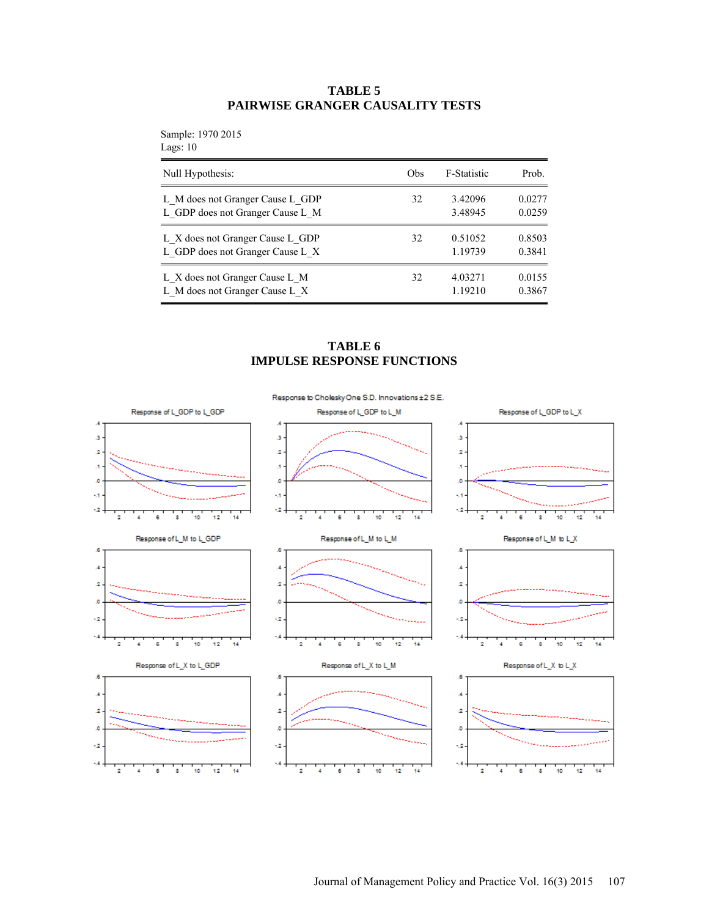# **TABLE 5 PAIRWISE GRANGER CAUSALITY TESTS**

Sample: 1970 2015  $L\varepsilon$ 

| Null Hypothesis:                 | Obs | F-Statistic | Prob.  |
|----------------------------------|-----|-------------|--------|
| L M does not Granger Cause L GDP | 32  | 3.42096     | 0.0277 |
| L GDP does not Granger Cause L M |     | 3.48945     | 0.0259 |
| L X does not Granger Cause L GDP | 32  | 0.51052     | 0.8503 |
| L GDP does not Granger Cause L X |     | 1.19739     | 0.3841 |
| L X does not Granger Cause L M   | 32  | 4.03271     | 0.0155 |
| L M does not Granger Cause L X   |     | 1.19210     | 0.3867 |

### **TABLE 6 IMPULSE RESPONSE FUNCTIONS**

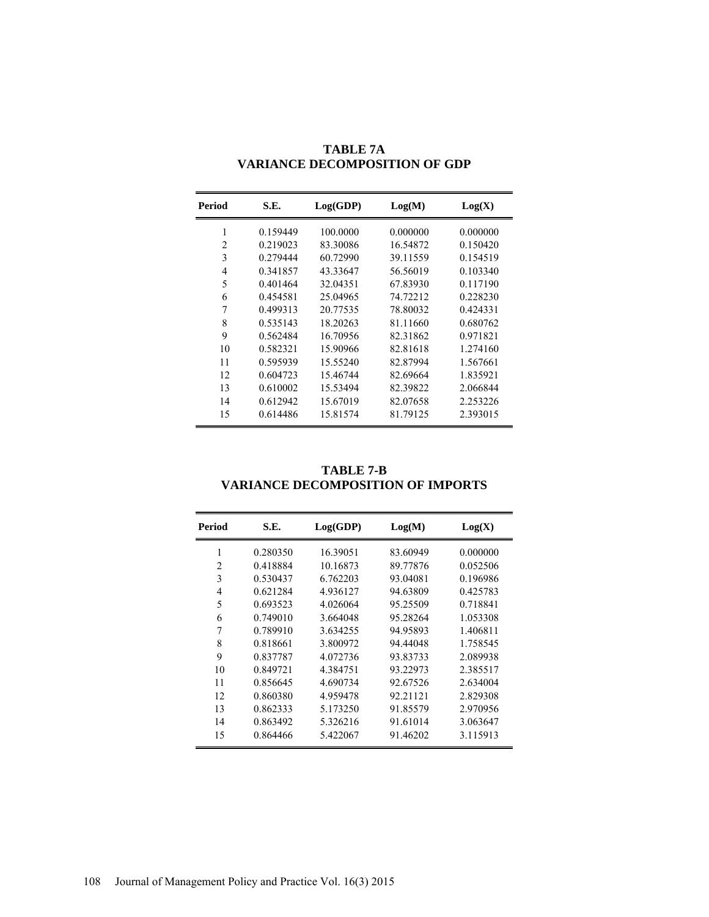| Period | S.E.     | Log(GDP) | Log(M)   | Log(X)   |
|--------|----------|----------|----------|----------|
| 1      | 0.159449 | 100.0000 | 0.000000 | 0.000000 |
| 2      | 0.219023 | 83.30086 | 16.54872 | 0.150420 |
| 3      | 0.279444 | 60.72990 | 39.11559 | 0.154519 |
| 4      | 0.341857 | 43.33647 | 56.56019 | 0.103340 |
| 5      | 0.401464 | 32.04351 | 67.83930 | 0.117190 |
| 6      | 0.454581 | 25.04965 | 74.72212 | 0.228230 |
| 7      | 0.499313 | 20.77535 | 78.80032 | 0.424331 |
| 8      | 0.535143 | 18.20263 | 81.11660 | 0.680762 |
| 9      | 0.562484 | 16.70956 | 82.31862 | 0.971821 |
| 10     | 0.582321 | 15.90966 | 82.81618 | 1.274160 |
| 11     | 0.595939 | 15.55240 | 82.87994 | 1.567661 |
| 12     | 0.604723 | 15.46744 | 82.69664 | 1.835921 |
| 13     | 0.610002 | 15.53494 | 82.39822 | 2.066844 |
| 14     | 0.612942 | 15.67019 | 82.07658 | 2.253226 |
| 15     | 0.614486 | 15.81574 | 81.79125 | 2.393015 |

**TABLE 7A VARIANCE DECOMPOSITION OF GDP**

# **TABLE 7-B VARIANCE DECOMPOSITION OF IMPORTS**

| <b>Period</b>  | S.E.     | Log(GDP) | Log(M)   | Log(X)   |
|----------------|----------|----------|----------|----------|
| 1              | 0.280350 | 16.39051 | 83.60949 | 0.000000 |
| $\overline{2}$ | 0.418884 | 10.16873 | 89.77876 | 0.052506 |
| 3              | 0.530437 | 6.762203 | 93.04081 | 0.196986 |
| $\overline{4}$ | 0.621284 | 4.936127 | 94.63809 | 0.425783 |
| 5              | 0.693523 | 4.026064 | 95.25509 | 0.718841 |
| 6              | 0.749010 | 3.664048 | 95.28264 | 1.053308 |
| 7              | 0.789910 | 3.634255 | 94.95893 | 1.406811 |
| 8              | 0.818661 | 3.800972 | 94.44048 | 1.758545 |
| 9              | 0.837787 | 4.072736 | 93.83733 | 2.089938 |
| 10             | 0.849721 | 4.384751 | 93.22973 | 2.385517 |
| 11             | 0.856645 | 4.690734 | 92.67526 | 2.634004 |
| 12             | 0.860380 | 4.959478 | 92.21121 | 2.829308 |
| 13             | 0.862333 | 5.173250 | 91.85579 | 2.970956 |
| 14             | 0.863492 | 5.326216 | 91.61014 | 3.063647 |
| 15             | 0.864466 | 5.422067 | 91.46202 | 3.115913 |